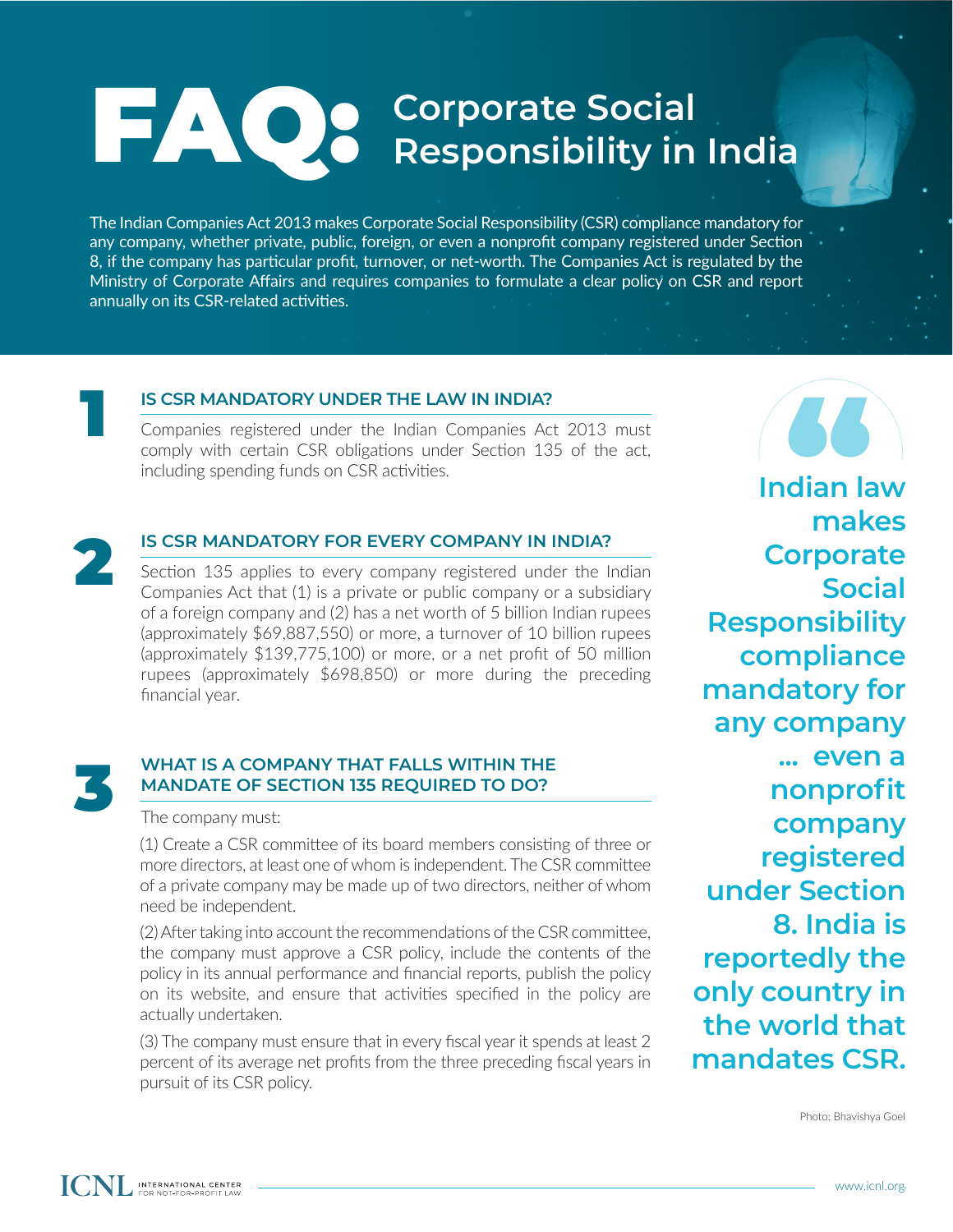## FAQ: **Corporate Social Responsibility in India**

The Indian Companies Act 2013 makes Corporate Social Responsibility (CSR) compliance mandatory for any company, whether private, public, foreign, or even a nonprofit company registered under Section 8, if the company has particular profit, turnover, or net-worth. The Companies Act is regulated by the Ministry of Corporate Affairs and requires companies to formulate a clear policy on CSR and report annually on its CSR-related activities.



#### **IS CSR MANDATORY UNDER THE LAW IN INDIA?**

Companies registered under the Indian Companies Act 2013 must comply with certain CSR obligations under Section 135 of the act, including spending funds on CSR activities.



#### **IS CSR MANDATORY FOR EVERY COMPANY IN INDIA?**

Section 135 applies to every company registered under the Indian Companies Act that (1) is a private or public company or a subsidiary of a foreign company and (2) has a net worth of 5 billion Indian rupees (approximately \$69,887,550) or more, a turnover of 10 billion rupees (approximately \$139,775,100) or more, or a net profit of 50 million rupees (approximately \$698,850) or more during the preceding financial year.



#### **WHAT IS A COMPANY THAT FALLS WITHIN THE MANDATE OF SECTION 135 REQUIRED TO DO?**

The company must:

(1) Create a CSR committee of its board members consisting of three or more directors, at least one of whom is independent. The CSR committee of a private company may be made up of two directors, neither of whom need be independent.

(2) After taking into account the recommendations of the CSR committee, the company must approve a CSR policy, include the contents of the policy in its annual performance and financial reports, publish the policy on its website, and ensure that activities specified in the policy are actually undertaken.

(3) The company must ensure that in every fiscal year it spends at least 2 percent of its average net profits from the three preceding fiscal years in pursuit of its CSR policy.

**SS**<br>dian la<br>mak **Indian law makes Corporate Social Responsibility compliance mandatory for any company ... even a nonprofit company registered under Section 8. India is reportedly the only country in the world that mandates CSR.**

Photo: Bhavishya Goel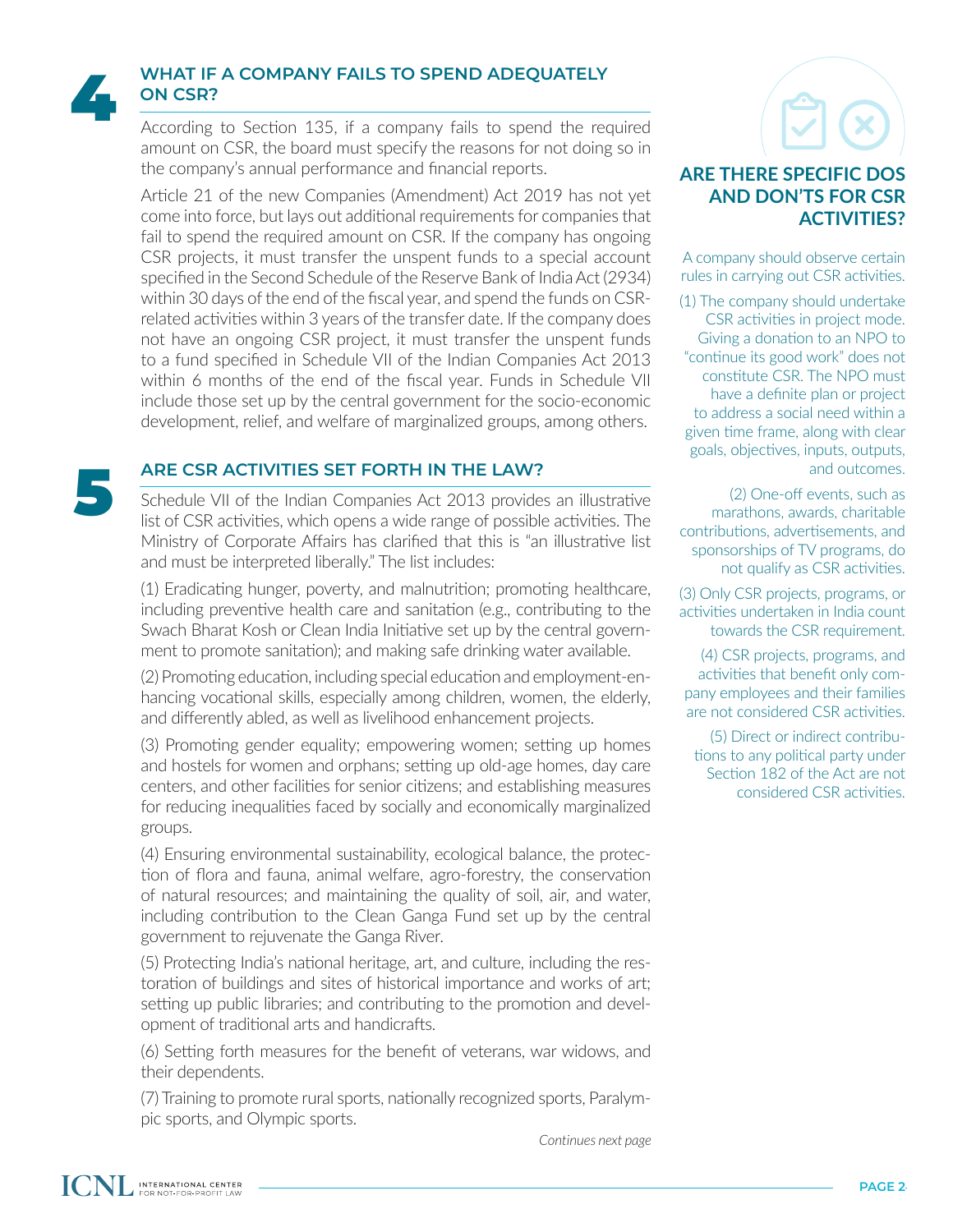

#### **WHAT IF A COMPANY FAILS TO SPEND ADEQUATELY ON CSR?**

According to Section 135, if a company fails to spend the required amount on CSR, the board must specify the reasons for not doing so in the company's annual performance and financial reports.

Article 21 of the new Companies (Amendment) Act 2019 has not yet come into force, but lays out additional requirements for companies that fail to spend the required amount on CSR. If the company has ongoing CSR projects, it must transfer the unspent funds to a special account specified in the Second Schedule of the Reserve Bank of India Act (2934) within 30 days of the end of the fiscal year, and spend the funds on CSRrelated activities within 3 years of the transfer date. If the company does not have an ongoing CSR project, it must transfer the unspent funds to a fund specified in Schedule VII of the Indian Companies Act 2013 within 6 months of the end of the fiscal year. Funds in Schedule VII include those set up by the central government for the socio-economic development, relief, and welfare of marginalized groups, among others.

Schedule VII of the Indian Companies Act 2013 provides an illustrative list of CSR activities, which opens a wide range of possible activities. The Ministry of Corporate Affairs has clarified that this is "an illustrative list and must be interpreted liberally." The list includes: **ARE CSR ACTIVITIES SET FORTH IN THE LAW?**<br>
Schedule VII of the Indian Companies Act 2013 provide<br>
list of CSR activities, which opens a wide range of possible

> (1) Eradicating hunger, poverty, and malnutrition; promoting healthcare, including preventive health care and sanitation (e.g., contributing to the Swach Bharat Kosh or Clean India Initiative set up by the central government to promote sanitation); and making safe drinking water available.

> (2) Promoting education, including special education and employment-enhancing vocational skills, especially among children, women, the elderly, and differently abled, as well as livelihood enhancement projects.

> (3) Promoting gender equality; empowering women; setting up homes and hostels for women and orphans; setting up old-age homes, day care centers, and other facilities for senior citizens; and establishing measures for reducing inequalities faced by socially and economically marginalized groups.

> (4) Ensuring environmental sustainability, ecological balance, the protection of flora and fauna, animal welfare, agro-forestry, the conservation of natural resources; and maintaining the quality of soil, air, and water, including contribution to the Clean Ganga Fund set up by the central government to rejuvenate the Ganga River.

> (5) Protecting India's national heritage, art, and culture, including the restoration of buildings and sites of historical importance and works of art; setting up public libraries; and contributing to the promotion and development of traditional arts and handicrafts.

> (6) Setting forth measures for the benefit of veterans, war widows, and their dependents.

> (7) Training to promote rural sports, nationally recognized sports, Paralympic sports, and Olympic sports.

#### *Continues next page*

### **ARE THERE SPECIFIC DOS AND DON'TS FOR CSR ACTIVITIES?**

A company should observe certain rules in carrying out CSR activities.

(1) The company should undertake CSR activities in project mode. Giving a donation to an NPO to "continue its good work" does not constitute CSR. The NPO must have a definite plan or project to address a social need within a given time frame, along with clear goals, objectives, inputs, outputs, and outcomes.

(2) One-off events, such as marathons, awards, charitable contributions, advertisements, and sponsorships of TV programs, do not qualify as CSR activities.

(3) Only CSR projects, programs, or activities undertaken in India count towards the CSR requirement.

(4) CSR projects, programs, and activities that benefit only company employees and their families are not considered CSR activities.

(5) Direct or indirect contributions to any political party under Section 182 of the Act are not considered CSR activities.